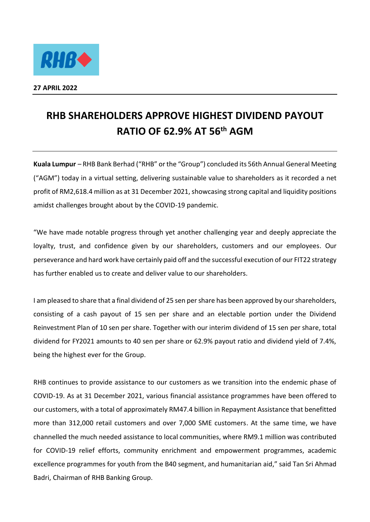

## **RHB SHAREHOLDERS APPROVE HIGHEST DIVIDEND PAYOUT RATIO OF 62.9% AT 56th AGM**

**Kuala Lumpur** – RHB Bank Berhad ("RHB" or the "Group") concluded its 56th Annual General Meeting ("AGM") today in a virtual setting, delivering sustainable value to shareholders as it recorded a net profit of RM2,618.4 million as at 31 December 2021, showcasing strong capital and liquidity positions amidst challenges brought about by the COVID-19 pandemic.

"We have made notable progress through yet another challenging year and deeply appreciate the loyalty, trust, and confidence given by our shareholders, customers and our employees. Our perseverance and hard work have certainly paid off and the successful execution of our FIT22 strategy has further enabled us to create and deliver value to our shareholders.

I am pleased to share that a final dividend of 25 sen per share has been approved by our shareholders, consisting of a cash payout of 15 sen per share and an electable portion under the Dividend Reinvestment Plan of 10 sen per share. Together with our interim dividend of 15 sen per share, total dividend for FY2021 amounts to 40 sen per share or 62.9% payout ratio and dividend yield of 7.4%, being the highest ever for the Group.

RHB continues to provide assistance to our customers as we transition into the endemic phase of COVID-19. As at 31 December 2021, various financial assistance programmes have been offered to our customers, with a total of approximately RM47.4 billion in Repayment Assistance that benefitted more than 312,000 retail customers and over 7,000 SME customers. At the same time, we have channelled the much needed assistance to local communities, where RM9.1 million was contributed for COVID-19 relief efforts, community enrichment and empowerment programmes, academic excellence programmes for youth from the B40 segment, and humanitarian aid," said Tan Sri Ahmad Badri, Chairman of RHB Banking Group.